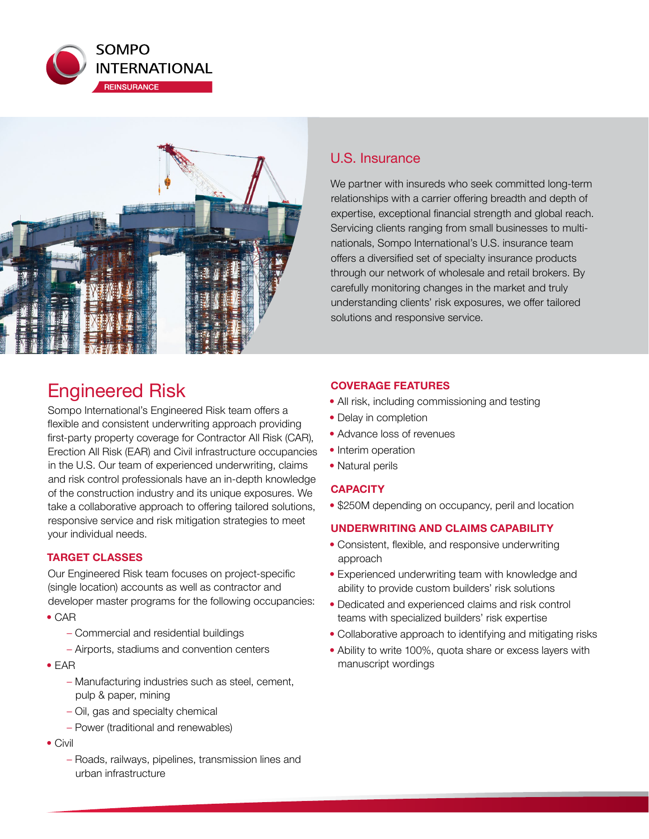



# Engineered Risk

Sompo International's Engineered Risk team offers a flexible and consistent underwriting approach providing first-party property coverage for Contractor All Risk (CAR), Erection All Risk (EAR) and Civil infrastructure occupancies in the U.S. Our team of experienced underwriting, claims and risk control professionals have an in-depth knowledge of the construction industry and its unique exposures. We take a collaborative approach to offering tailored solutions, responsive service and risk mitigation strategies to meet your individual needs.

### **TARGET CLASSES**

Our Engineered Risk team focuses on project-specific (single location) accounts as well as contractor and developer master programs for the following occupancies:

- CAR
	- Commercial and residential buildings
	- Airports, stadiums and convention centers
- EAR
	- Manufacturing industries such as steel, cement, pulp & paper, mining
	- Oil, gas and specialty chemical
	- Power (traditional and renewables)
- Civil
	- Roads, railways, pipelines, transmission lines and urban infrastructure

## U.S. Insurance

We partner with insureds who seek committed long-term relationships with a carrier offering breadth and depth of expertise, exceptional financial strength and global reach. Servicing clients ranging from small businesses to multinationals, Sompo International's U.S. insurance team offers a diversified set of specialty insurance products through our network of wholesale and retail brokers. By carefully monitoring changes in the market and truly understanding clients' risk exposures, we offer tailored solutions and responsive service.

## **COVERAGE FEATURES**

- All risk, including commissioning and testing
- Delay in completion
- Advance loss of revenues
- Interim operation
- Natural perils

## **CAPACITY**

• \$250M depending on occupancy, peril and location

### **UNDERWRITING AND CLAIMS CAPABILITY**

- Consistent, flexible, and responsive underwriting approach
- Experienced underwriting team with knowledge and ability to provide custom builders' risk solutions
- Dedicated and experienced claims and risk control teams with specialized builders' risk expertise
- Collaborative approach to identifying and mitigating risks
- Ability to write 100%, quota share or excess layers with manuscript wordings